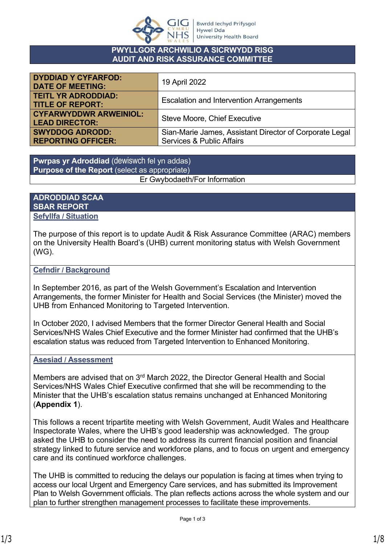

#### **PWYLLGOR ARCHWILIO A SICRWYDD RISG AUDIT AND RISK ASSURANCE COMMITTEE**

| <b>DYDDIAD Y CYFARFOD:</b><br><b>DATE OF MEETING:</b>  | 19 April 2022                                                                                   |
|--------------------------------------------------------|-------------------------------------------------------------------------------------------------|
| <b>TEITL YR ADRODDIAD:</b><br><b>TITLE OF REPORT:</b>  | <b>Escalation and Intervention Arrangements</b>                                                 |
| <b>CYFARWYDDWR ARWEINIOL:</b><br><b>LEAD DIRECTOR:</b> | Steve Moore, Chief Executive                                                                    |
| <b>SWYDDOG ADRODD:</b><br><b>REPORTING OFFICER:</b>    | Sian-Marie James, Assistant Director of Corporate Legal<br><b>Services &amp; Public Affairs</b> |

**Pwrpas yr Adroddiad** (dewiswch fel yn addas) **Purpose of the Report** (select as appropriate) Er Gwybodaeth/For Information

#### **ADRODDIAD SCAA SBAR REPORT Sefyllfa / Situation**

The purpose of this report is to update Audit & Risk Assurance Committee (ARAC) members on the University Health Board's (UHB) current monitoring status with Welsh Government (WG).

## **Cefndir / Background**

In September 2016, as part of the Welsh Government's Escalation and Intervention Arrangements, the former Minister for Health and Social Services (the Minister) moved the UHB from Enhanced Monitoring to Targeted Intervention.

In October 2020, I advised Members that the former Director General Health and Social Services/NHS Wales Chief Executive and the former Minister had confirmed that the UHB's escalation status was reduced from Targeted Intervention to Enhanced Monitoring.

## **Asesiad / Assessment**

Members are advised that on 3<sup>rd</sup> March 2022, the Director General Health and Social Services/NHS Wales Chief Executive confirmed that she will be recommending to the Minister that the UHB's escalation status remains unchanged at Enhanced Monitoring (**Appendix 1**).

This follows a recent tripartite meeting with Welsh Government, Audit Wales and Healthcare Inspectorate Wales, where the UHB's good leadership was acknowledged. The group asked the UHB to consider the need to address its current financial position and financial strategy linked to future service and workforce plans, and to focus on urgent and emergency care and its continued workforce challenges.

The UHB is committed to reducing the delays our population is facing at times when trying to access our local Urgent and Emergency Care services, and has submitted its Improvement Plan to Welsh Government officials. The plan reflects actions across the whole system and our plan to further strengthen management processes to facilitate these improvements.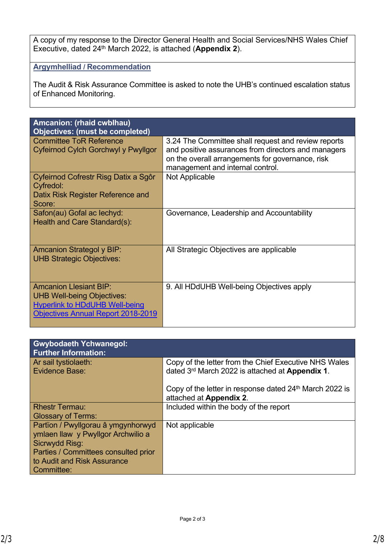A copy of my response to the Director General Health and Social Services/NHS Wales Chief Executive, dated 24th March 2022, is attached (**Appendix 2**).

# **Argymhelliad / Recommendation**

The Audit & Risk Assurance Committee is asked to note the UHB's continued escalation status of Enhanced Monitoring.

| Amcanion: (rhaid cwblhau)<br>Objectives: (must be completed)                                                                                      |                                                                                                                                                                                                    |
|---------------------------------------------------------------------------------------------------------------------------------------------------|----------------------------------------------------------------------------------------------------------------------------------------------------------------------------------------------------|
| <b>Committee ToR Reference</b><br>Cyfeirnod Cylch Gorchwyl y Pwyllgor                                                                             | 3.24 The Committee shall request and review reports<br>and positive assurances from directors and managers<br>on the overall arrangements for governance, risk<br>management and internal control. |
| Cyfeirnod Cofrestr Risg Datix a Sgôr<br>Cyfredol:<br>Datix Risk Register Reference and<br>Score:                                                  | Not Applicable                                                                                                                                                                                     |
| Safon(au) Gofal ac lechyd:<br>Health and Care Standard(s):                                                                                        | Governance, Leadership and Accountability                                                                                                                                                          |
| <b>Amcanion Strategol y BIP:</b><br><b>UHB Strategic Objectives:</b>                                                                              | All Strategic Objectives are applicable                                                                                                                                                            |
| <b>Amcanion Llesiant BIP:</b><br><b>UHB Well-being Objectives:</b><br><b>Hyperlink to HDdUHB Well-being</b><br>Objectives Annual Report 2018-2019 | 9. All HDdUHB Well-being Objectives apply                                                                                                                                                          |

| <b>Gwybodaeth Ychwanegol:</b><br><b>Further Information:</b> |                                                                                                          |
|--------------------------------------------------------------|----------------------------------------------------------------------------------------------------------|
| Ar sail tystiolaeth:<br>Evidence Base:                       | Copy of the letter from the Chief Executive NHS Wales<br>dated 3rd March 2022 is attached at Appendix 1. |
|                                                              | Copy of the letter in response dated $24th$ March 2022 is<br>attached at Appendix 2.                     |
| <b>Rhestr Termau:</b>                                        | Included within the body of the report                                                                   |
| <b>Glossary of Terms:</b>                                    |                                                                                                          |
| Partïon / Pwyllgorau â ymgynhorwyd                           | Not applicable                                                                                           |
| ymlaen llaw y Pwyllgor Archwilio a                           |                                                                                                          |
| Sicrwydd Risg:                                               |                                                                                                          |
| Parties / Committees consulted prior                         |                                                                                                          |
| to Audit and Risk Assurance                                  |                                                                                                          |
| Committee:                                                   |                                                                                                          |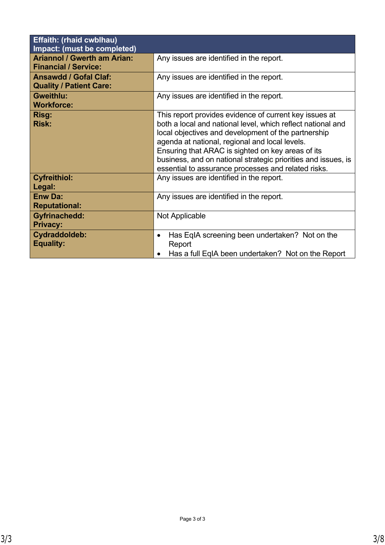| <b>Effaith: (rhaid cwblhau)</b>    |                                                                 |
|------------------------------------|-----------------------------------------------------------------|
| Impact: (must be completed)        |                                                                 |
| <b>Ariannol / Gwerth am Arian:</b> | Any issues are identified in the report.                        |
| <b>Financial / Service:</b>        |                                                                 |
| <b>Ansawdd / Gofal Claf:</b>       | Any issues are identified in the report.                        |
| <b>Quality / Patient Care:</b>     |                                                                 |
| <b>Gweithlu:</b>                   | Any issues are identified in the report.                        |
| <b>Workforce:</b>                  |                                                                 |
| Risg:                              | This report provides evidence of current key issues at          |
| <b>Risk:</b>                       | both a local and national level, which reflect national and     |
|                                    | local objectives and development of the partnership             |
|                                    | agenda at national, regional and local levels.                  |
|                                    | Ensuring that ARAC is sighted on key areas of its               |
|                                    | business, and on national strategic priorities and issues, is   |
|                                    | essential to assurance processes and related risks.             |
| <b>Cyfreithiol:</b>                | Any issues are identified in the report.                        |
| Legal:                             |                                                                 |
| Enw Da:                            | Any issues are identified in the report.                        |
| <b>Reputational:</b>               |                                                                 |
| <b>Gyfrinachedd:</b>               | Not Applicable                                                  |
| <b>Privacy:</b>                    |                                                                 |
| Cydraddoldeb:                      | Has EqIA screening been undertaken? Not on the<br>$\bullet$     |
| <b>Equality:</b>                   | Report                                                          |
|                                    | Has a full EqIA been undertaken? Not on the Report<br>$\bullet$ |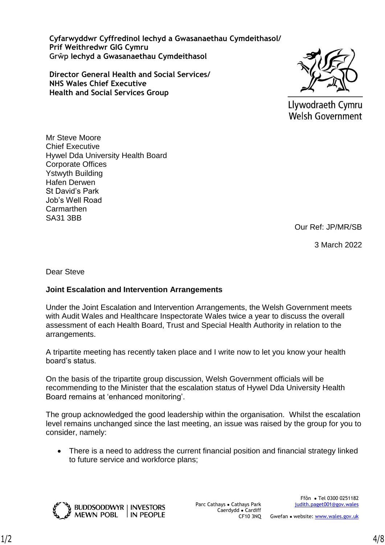**Cyfarwyddwr Cyffredinol Iechyd a Gwasanaethau Cymdeithasol/ Prif Weithredwr GIG Cymru Grŵp Iechyd a Gwasanaethau Cymdeithasol**

**Director General Health and Social Services/ NHS Wales Chief Executive Health and Social Services Group**



Llywodraeth Cymru **Welsh Government** 

Mr Steve Moore Chief Executive Hywel Dda University Health Board Corporate Offices Ystwyth Building Hafen Derwen St David's Park Job's Well Road **Carmarthen** SA31 3BB

Our Ref: JP/MR/SB

3 March 2022

Dear Steve

## **Joint Escalation and Intervention Arrangements**

Under the Joint Escalation and Intervention Arrangements, the Welsh Government meets with Audit Wales and Healthcare Inspectorate Wales twice a year to discuss the overall assessment of each Health Board, Trust and Special Health Authority in relation to the arrangements.

A tripartite meeting has recently taken place and I write now to let you know your health board's status.

On the basis of the tripartite group discussion, Welsh Government officials will be recommending to the Minister that the escalation status of Hywel Dda University Health Board remains at 'enhanced monitoring'.

The group acknowledged the good leadership within the organisation. Whilst the escalation level remains unchanged since the last meeting, an issue was raised by the group for you to consider, namely:

• There is a need to address the current financial position and financial strategy linked to future service and workforce plans;

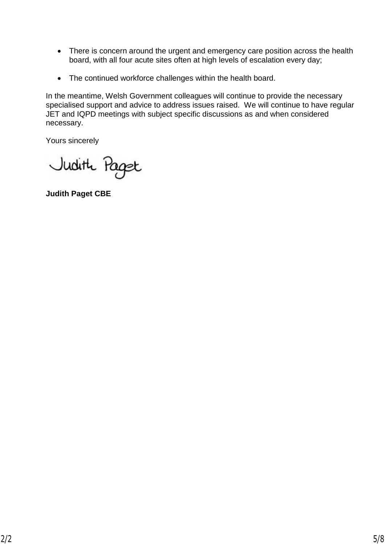- There is concern around the urgent and emergency care position across the health board, with all four acute sites often at high levels of escalation every day;
- The continued workforce challenges within the health board.

In the meantime, Welsh Government colleagues will continue to provide the necessary specialised support and advice to address issues raised. We will continue to have regular JET and IQPD meetings with subject specific discussions as and when considered necessary.

Yours sincerely

Judith Paget

**Judith Paget CBE**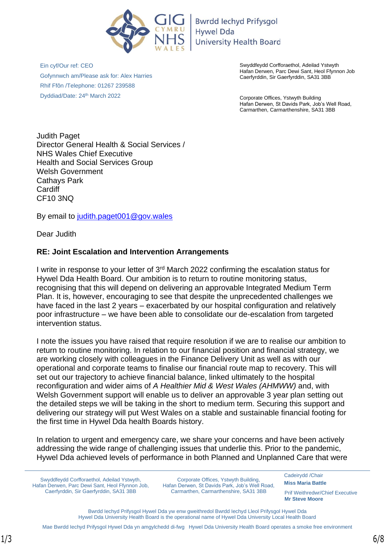

**Bwrdd lechyd Prifysgol Hywel Dda University Health Board** 

Ein cyf/Our ref: CEO Gofynnwch am/Please ask for: Alex Harries Rhif Ffôn /Telephone: 01267 239588 Dyddiad/Date: 24th March 2022

Swyddfeydd Corfforaethol, Adeilad Ystwyth Hafan Derwen, Parc Dewi Sant, Heol Ffynnon Job Caerfyrddin, Sir Gaerfyrddin, SA31 3BB

Corporate Offices, Ystwyth Building Hafan Derwen, St Davids Park, Job's Well Road, Carmarthen, Carmarthenshire, SA31 3BB

Judith Paget Director General Health & Social Services / NHS Wales Chief Executive Health and Social Services Group Welsh Government Cathays Park **Cardiff** CF10 3NQ

By email to [judith.paget001@gov.wales](mailto:judith.paget001@gov.wales)

Dear Judith

## **RE: Joint Escalation and Intervention Arrangements**

I write in response to your letter of 3rd March 2022 confirming the escalation status for Hywel Dda Health Board. Our ambition is to return to routine monitoring status, recognising that this will depend on delivering an approvable Integrated Medium Term Plan. It is, however, encouraging to see that despite the unprecedented challenges we have faced in the last 2 years – exacerbated by our hospital configuration and relatively poor infrastructure – we have been able to consolidate our de-escalation from targeted intervention status.

I note the issues you have raised that require resolution if we are to realise our ambition to return to routine monitoring. In relation to our financial position and financial strategy, we are working closely with colleagues in the Finance Delivery Unit as well as with our operational and corporate teams to finalise our financial route map to recovery. This will set out our trajectory to achieve financial balance, linked ultimately to the hospital reconfiguration and wider aims of *A Healthier Mid & West Wales (AHMWW)* and, with Welsh Government support will enable us to deliver an approvable 3 year plan setting out the detailed steps we will be taking in the short to medium term. Securing this support and delivering our strategy will put West Wales on a stable and sustainable financial footing for the first time in Hywel Dda health Boards history.

In relation to urgent and emergency care, we share your concerns and have been actively addressing the wide range of challenging issues that underlie this. Prior to the pandemic, Hywel Dda achieved levels of performance in both Planned and Unplanned Care that were

Swyddfeydd Corfforaethol, Adeilad Ystwyth, Hafan Derwen, Parc Dewi Sant, Heol Ffynnon Job, Caerfyrddin, Sir Gaerfyrddin, SA31 3BB

Corporate Offices, Ystwyth Building, Hafan Derwen, St Davids Park, Job's Well Road, Carmarthen, Carmarthenshire, SA31 3BB

[Cadeirydd /C](http://www.wales.nhs.uk/sitesplus/862/tudalen/91587)hair **Miss Maria Battle**

Prif Weithredwr/Chief Executive **Mr Steve Moore**

Bwrdd Iechyd Prifysgol Hywel Dda yw enw gweithredol Bwrdd Iechyd Lleol Prifysgol Hywel Dda Hywel Dda University Health Board is the operational name of Hywel Dda University Local Health Board

Mae Bwrdd Iechyd Prifysgol Hywel Dda yn amgylchedd di-fwg Hywel Dda University Health Board operates a smoke free environment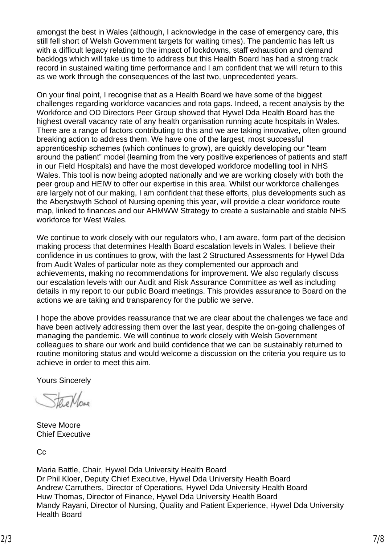amongst the best in Wales (although, I acknowledge in the case of emergency care, this still fell short of Welsh Government targets for waiting times). The pandemic has left us with a difficult legacy relating to the impact of lockdowns, staff exhaustion and demand backlogs which will take us time to address but this Health Board has had a strong track record in sustained waiting time performance and I am confident that we will return to this as we work through the consequences of the last two, unprecedented years.

On your final point, I recognise that as a Health Board we have some of the biggest challenges regarding workforce vacancies and rota gaps. Indeed, a recent analysis by the Workforce and OD Directors Peer Group showed that Hywel Dda Health Board has the highest overall vacancy rate of any health organisation running acute hospitals in Wales. There are a range of factors contributing to this and we are taking innovative, often ground breaking action to address them. We have one of the largest, most successful apprenticeship schemes (which continues to grow), are quickly developing our "team around the patient" model (learning from the very positive experiences of patients and staff in our Field Hospitals) and have the most developed workforce modelling tool in NHS Wales. This tool is now being adopted nationally and we are working closely with both the peer group and HEIW to offer our expertise in this area. Whilst our workforce challenges are largely not of our making, I am confident that these efforts, plus developments such as the Aberystwyth School of Nursing opening this year, will provide a clear workforce route map, linked to finances and our AHMWW Strategy to create a sustainable and stable NHS workforce for West Wales.

We continue to work closely with our regulators who, I am aware, form part of the decision making process that determines Health Board escalation levels in Wales. I believe their confidence in us continues to grow, with the last 2 Structured Assessments for Hywel Dda from Audit Wales of particular note as they complemented our approach and achievements, making no recommendations for improvement. We also regularly discuss our escalation levels with our Audit and Risk Assurance Committee as well as including details in my report to our public Board meetings. This provides assurance to Board on the actions we are taking and transparency for the public we serve.

I hope the above provides reassurance that we are clear about the challenges we face and have been actively addressing them over the last year, despite the on-going challenges of managing the pandemic. We will continue to work closely with Welsh Government colleagues to share our work and build confidence that we can be sustainably returned to routine monitoring status and would welcome a discussion on the criteria you require us to achieve in order to meet this aim.

Yours Sincerely

Steve Moore Chief Executive

Cc

Maria Battle, Chair, Hywel Dda University Health Board Dr Phil Kloer, Deputy Chief Executive, Hywel Dda University Health Board Andrew Carruthers, Director of Operations, Hywel Dda University Health Board Huw Thomas, Director of Finance, Hywel Dda University Health Board Mandy Rayani, Director of Nursing, Quality and Patient Experience, Hywel Dda University Health Board